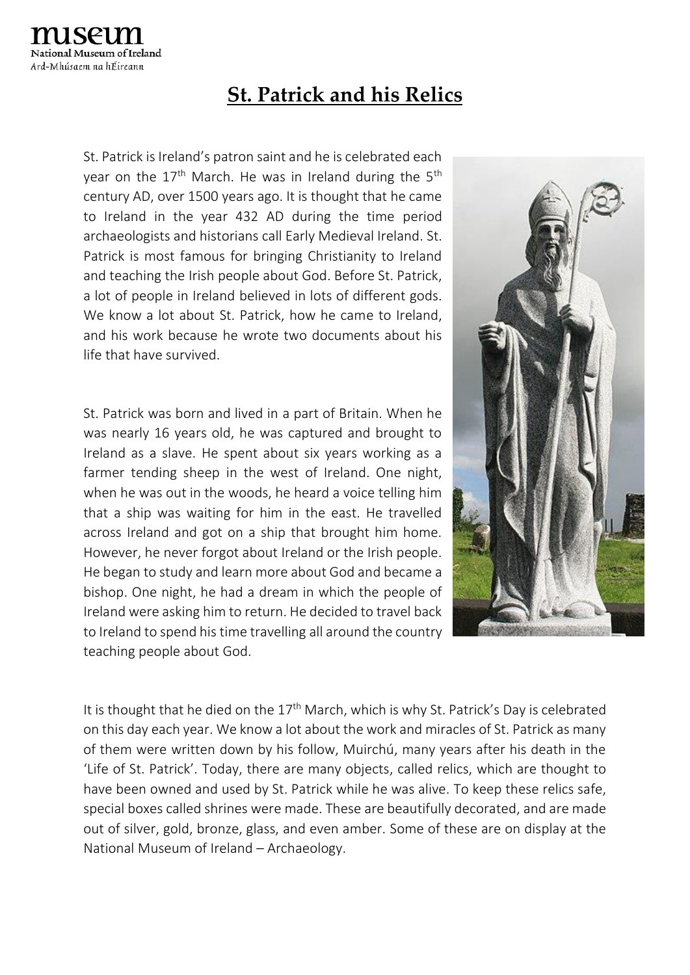## **St. Patrick and his Relics**

St. Patrick is Ireland's patron saint and he is celebrated each year on the  $17<sup>th</sup>$  March. He was in Ireland during the  $5<sup>th</sup>$ century AD, over 1500 years ago. It is thought that he came to Ireland in the year 432 AD during the time period archaeologists and historians call Early Medieval Ireland. St. Patrick is most famous for bringing Christianity to Ireland and teaching the Irish people about God. Before St. Patrick, a lot of people in Ireland believed in lots of different gods. We know a lot about St. Patrick, how he came to Ireland, and his work because he wrote two documents about his life that have survived.

St. Patrick was born and lived in a part of Britain. When he was nearly 16 years old, he was captured and brought to Ireland as a slave. He spent about six years working as a farmer tending sheep in the west of Ireland. One night, when he was out in the woods, he heard a voice telling him that a ship was waiting for him in the east. He travelled across Ireland and got on a ship that brought him home. However, he never forgot about Ireland or the Irish people. He began to study and learn more about God and became a bishop. One night, he had a dream in which the people of Ireland were asking him to return. He decided to travel back to Ireland to spend his time travelling all around the country teaching people about God.



It is thought that he died on the  $17<sup>th</sup>$  March, which is why St. Patrick's Day is celebrated on this day each year. We know a lot about the work and miracles of St. Patrick as many of them were written down by his follow, Muirchú, many years after his death in the 'Life of St. Patrick'. Today, there are many objects, called relics, which are thought to have been owned and used by St. Patrick while he was alive. To keep these relics safe, special boxes called shrines were made. These are beautifully decorated, and are made out of silver, gold, bronze, glass, and even amber. Some of these are on display at the National Museum of Ireland – Archaeology.